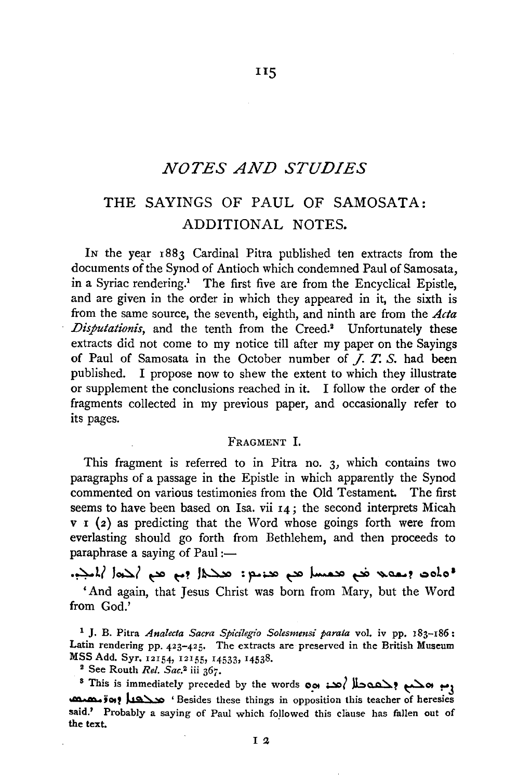### *NOTES AND STUDIES*

ns

# **THE** SAYINGS OF PAUL OF SAMOSATA: ADDITIONAL NOTES.

In the year 1883 Cardinal Pitra published ten extracts from the documents of the Synod of Antioch which condemned Paul of Samosata, in a Syriac rendering.<sup>1</sup> The first five are from the Encyclical Epistle, and are given in the order in which they appeared in it, the sixth is from the same source, the seventh, eighth, and ninth are from the *Acta Disputationis*, and the tenth from the Creed.<sup>2</sup> Unfortunately these extracts did not come to my notice till after my paper on the Sayings of Paul of Samosata in the October number of *J.* T. *S.* had been published. I propose now to shew the extent to which they illustrate or supplement the conclusions reached in it. I follow the order of the fragments collected in my previous paper, and occasionally refer to its pages.

### FRAGMENT I.

This fragment is referred to in Pitra no. 3, which contains two paragraphs of a passage in the Epistle in which apparently the Synod commented on various testimonies from the Old Testament. The first seems to have been based on Isa. vii 14; the second interprets Micah v **1** (2) as predicting that the Word whose goings forth were from everlasting should go forth from Bethlehem, and then proceeds to  $paraphrase$  a saying of Paul : $-$ 

·~l( J~( ~ ~? J~ :~~ ~ ~ ~ ~~? **oolo <sup>1</sup>** 'And again, that Jesus Christ was born from Mary, but the Word from God.'

<sup>1</sup>**J.** B. Pitra *Analecta Sacra Spicilegio Solesmensi parata* vol. iv pp. 183-186: Latin rendering pp. 423-425. The extracts are preserved in the British Museum MSS Add. Syr. 12154, 12155, 14533, 14538.<br><sup>2</sup> See Routh *Rel. Sac.*<sup>2</sup> iii 367.<br>8 This is immediately preceded by the words **001 میں بوحید و "! .** 

 $^s$  This is immediately preceded by the words  $\infty$   $\infty$   $\infty$   $\infty$   $\infty$   $\infty$   $\infty$   $^s$  This is immediately preceded by the words  $\infty$   $\infty$   $\infty$   $\infty$   $\infty$   $\infty$   $\infty$   $\infty$   $\infty$   $\infty$   $\infty$   $\infty$   $\infty$   $\infty$  said.' Probably a saying of Paul which followed this clause has fallen out of the text.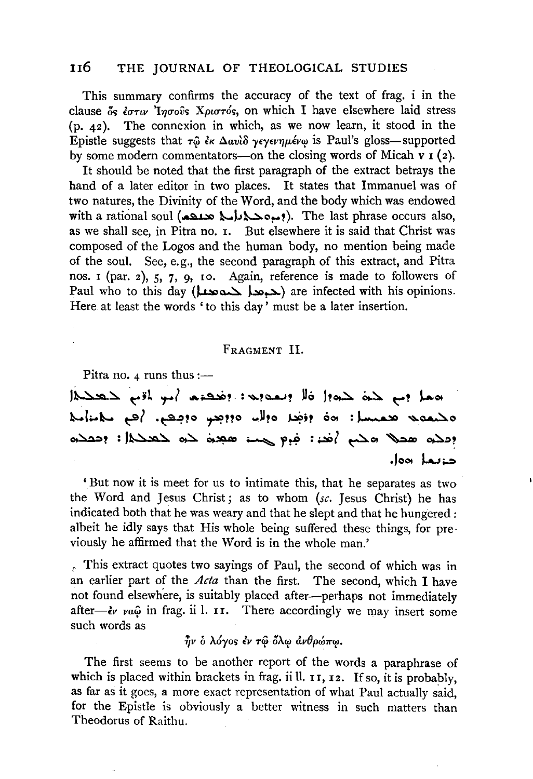### 116 THE JOURNAL OF THEOLOGICAl. STUDIES

This summary confirms the accuracy of the text of frag. i in the clause δς *έστιν* 'Iησούς Χριστός, on which I have elsewhere laid stress (p. 42). The connexion in which, as we now learn, it stood in the Epistle suggests that  $\tau \hat{\omega}$   $\partial \kappa \Delta \alpha v \partial \gamma \partial \psi$  *Yeyevnustrum* is Paul's gloss-supported by some modern commentators—on the closing words of Micah  $v_1(z)$ .

It should be noted that the first paragraph of the extract betrays the hand of a later editor in two places. It states that Immanuel was of two natures, the Divinity of the Word, and the body which was endowed with a rational soul (ميوه حيادات). The last phrase occurs also, as we shall see, in Pitra no. 1. But elsewhere it is said that Christ was composed of the Logos and the human body, no mention being made of the soul. See, e.g., the second paragraph of this extract, and Pitra nos.  $\mathfrak{r}$  (par. 2),  $\mathfrak{r}$ ,  $\mathfrak{r}$ ,  $\mathfrak{q}$ ,  $\mathfrak{r}$ ,  $\mathfrak{q}$ ,  $\mathfrak{q}$ ,  $\mathfrak{q}$ , reference is made to followers of Paul who to this day ( $\Delta \sim$   $\sim$ ) are infected with his opinions. Here at least the words ' to this day' must be a later insertion.

### FRAGMENT II.

Pitra no. 4 runs thus  $:$ 

«معا إنه لحية لحية! قال إنفة بين : وقد عليه أسو الأم لا تعليما ~{;..~ t:9f -~~?o r"???o .. Dto ~;? oot : ~ ~~o  $\mathsf{p}\in\mathsf{C}$  :  $\mathsf{p}\in\mathsf{C}$  .  $\mathsf{p}\in\mathsf{C}$  .  $\mathsf{p}\in\mathsf{C}$  .  $\mathsf{p}\in\mathsf{C}$  .  $\mathsf{p}\in\mathsf{C}$  . د.نما «ها.

'But now it is meet for us to intimate this, that he separates as two the Word and Jesus Christ ; as to whom *(se.* Jesus Christ) he has indicated both that he was weary and that he slept and that he hungered *:*  albeit he idly says that His whole being suffered these things, for previously he affirmed that the Word is in the whole man.'

, This extract quotes two sayings of Paul, the second of which was in an earlier part of the *Acta* than the first. The second, which I have not found elsewhere, is suitably placed after-perhaps not immediately after-*iv va* $\hat{\omega}$  in frag. ii l. 11. There accordingly we may insert some such words as

 $\hat{\eta}$ ν ο λόγος έν τω όλω ανθρώπω.

The first seems to be another report of the words a paraphrase of which is placed within brackets in frag. ii ll. II, I2. If so, it is probably, as far as it goes, a more exact representation of what Paul actually said, for the Epistle is obviously a better witness in such matters than Theodorus of Raithu.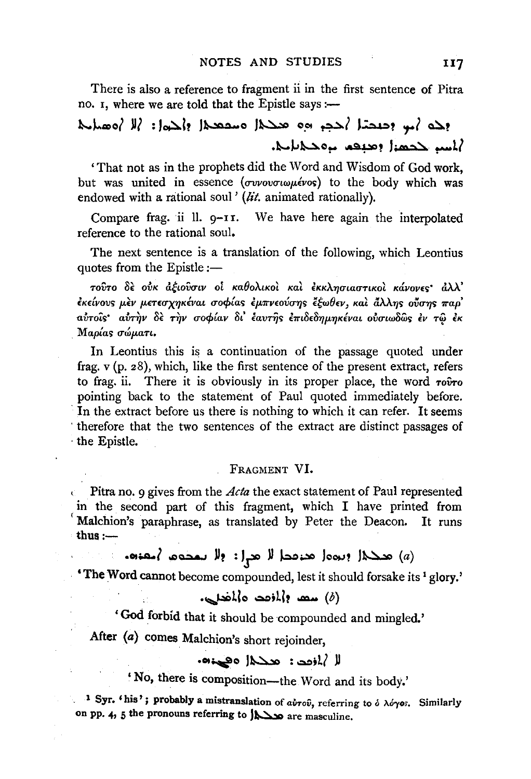There is also a reference to fragment ii in the first sentence of Pitra no. I, where we are told that the Epistle says :-

# وحد أس وحيحتا أحجر وه محكال مسقعة والحواز إلا أوهنانه أبلسه حجهنا وعنفم بروحياتاتي

'That not as in the prophets did the Word and Wisdom of God work. but was united in essence (συνουσιωμένος) to the body which was endowed with a rational soul' (lit. animated rationally).

We have here again the interpolated Compare frag. ii  $lll$ .  $q-11$ . reference to the rational soul.

The next sentence is a translation of the following, which Leontius quotes from the Epistle:-

τούτο δε ούκ αξιούσιν οι καθολικοί και εκκλησιαστικοί κάνονες αλλ' έκείνους μεν μετεσχηκέναι σοφίας εμπνεούσης έξωθεν, και άλλης ούσης παρ' αὐτοῖς· αὐτὴν δὲ τὴν σοφίαν δι' ἐαυτῆς ἐπιδεδημηκέναι οὐσιωδῶς ἐν τῷ ἐκ Μαρίας σώματι.

In Leontius this is a continuation of the passage quoted under frag.  $v$  (p. 28), which, like the first sentence of the present extract, refers to frag. ii. There it is obviously in its proper place, the word rooro pointing back to the statement of Paul quoted immediately before. In the extract before us there is nothing to which it can refer. It seems therefore that the two sentences of the extract are distinct passages of the Epistle.

### FRAGMENT VI.

Pitra no. 9 gives from the *Acta* the exact statement of Paul represented in the second part of this fragment, which I have printed from Malchion's paraphrase, as translated by Peter the Deacon. It runs thus  $:$   $-$ 

## (a) هڪلا (بره) هنوڪا لا هي او او سمجوم (شعبون

'The Word cannot become compounded, lest it should forsake its <sup>1</sup> glory.'

### (6) سعد والمزجد والمخدري.

'God forbid that it should be compounded and mingled.'

After (a) comes Malchion's short rejoinder,

### لا /ازدد: عددا ا دهینه.

' No, there is composition-the Word and its body.'

1 Syr. 'his'; probably a mistranslation of  $ab\tau\hat{\omega}$ , referring to  $\hat{\omega}$   $\lambda\hat{\omega}\gamma\hat{\omega}$ . Similarly on pp. 4, 5 the pronouns referring to  $\Delta \$  are masculine.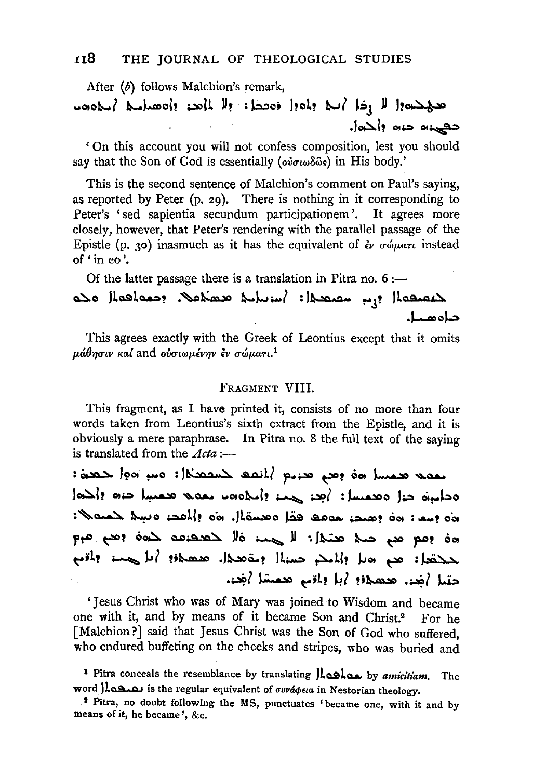After (b) follows Malchion's remark, حج حده والله وخل أسلا والموول فمصطل: ولل المحد والمصلاح المحاموم حعينه حنه المحمل

'On this account you will not confess composition, lest you should say that the Son of God is essentially (ούσιωδώς) in His body.'

This is the second sentence of Malchion's comment on Paul's saying, as reported by Peter (p. 29). There is nothing in it corresponding to Peter's 'sed sapientia secundum participationem'. It agrees more closely, however, that Peter's rendering with the parallel passage of the Epistle (p. 30) inasmuch as it has the equivalent of  $\partial \phi$   $\sigma \omega \mu$  instead of 'in eo'.

Of the latter passage there is a translation in Pitra no.  $6:$ 

لاعصعها إبر سصعدا: إساسا معصلات احمادها ملاه حاەھىل

This agrees exactly with the Greek of Leontius except that it omits μάθησιν καί and ούσιωμένην έν σώματι.<sup>1</sup>

### FRAGMENT VIII.

This fragment, as I have printed it, consists of no more than four words taken from Leontius's sixth extract from the Epistle, and it is obviously a mere paraphrase. In Pitra no. 8 the full text of the saying is translated from the  $Acta$  :-

لمولد تعمسل ماه وهم تعديم المنقف لمنقصكما وسواموا لحصوله:  $|0\rangle$ ochio cil oceant:  $|0\rangle$  ex externed  $|0\rangle$ loo إسم: 60 إهتم: مومد ققل وهسة إن 60 إلى المد وسلا للعنه الا مة ومع مع حدة محتمل: لا حدة فلا خصصهما من ومع مو حدقعا: هم ما إلمائ حسنا بمقصدا. هممان: أما حسن المقيم جتيل أضن محصلان أبل ولمقي محمسًا أضن

'Iesus Christ who was of Mary was joined to Wisdom and became one with it, and by means of it became Son and Christ.<sup>2</sup> For he [Malchion?] said that Jesus Christ was the Son of God who suffered, who endured buffeting on the cheeks and stripes, who was buried and

<sup>1</sup> Pitra conceals the resemblance by translating  $\lambda$  and by amicitiam. The word *Jaman is* the regular equivalent of συνάφεια in Nestorian theology.

<sup>&</sup>lt;sup>2</sup> Pitra, no doubt following the MS, punctuates 'became one, with it and by means of it, he became', &c.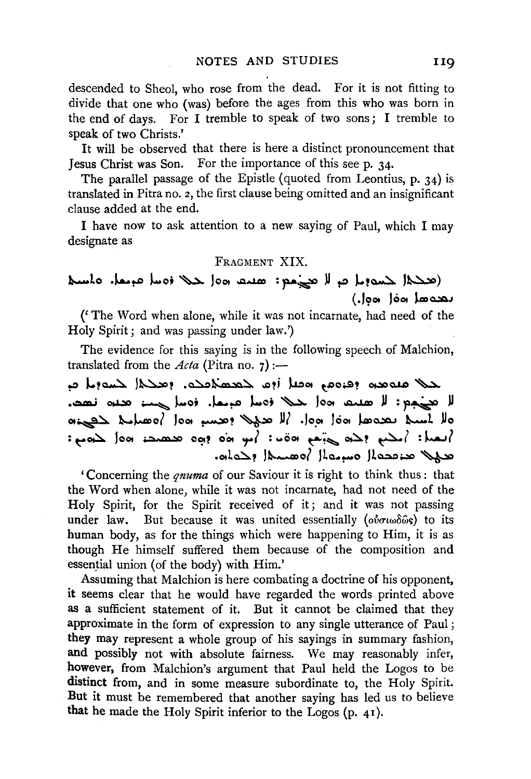descended to Sheol, who rose from the dead. For it is not fitting to divide that one who (was) before the ages from this who was born in the end of days. For I tremble to speak of two sons; I tremble to speak of two Christs.'

It will be observed that there is here a distinct pronouncement that Jesus Christ was Son. For the importance of this seep. 34·

The parallel passage of the Epistle (quoted from Leontius, p. 34) is translated in Pitra no. *z,* the first clause being omitted and an insignificant clause added at the end.

I have now to ask attention to a new saying of Paul, which I may designate as

#### FRAGMENT XIX.

## (تعظم المسابر المستعدم العربية العربية العربية العربية المسلم المسلم المسلم المسلم المسلم المسلم العربية المسلم  $( .|$ oo $|$ oo $|$ an loo

('The Word when alone, while it was not incarnate, had need of the Holy Spirit; and was passing under law.')

The evidence for this saying is in the following speech of Malchion, translated from the  $Acta$  (Pitra no.  $7$ ) :-

حلا عنوهم وقروم وقبل أوم لمعصلاتهم ومنحلا لمسويل م لا تعني منه الم تعليم الله من الله عنه من الله عنه الله عنه الله عنه الله عنه الله عنه الله عنه الله عنه الله ع<br>الله عنه الله عنه الله عنه الله عنه الله عنه الله عنه الله عنه الله عنه الله عنه الله عنه الله عنه الله عنه ا 01~ ~J..-,o( lo01 ~? '\*.:~~:> *»?* .lo."' lc01 J.=Q.:Q.J ~t Uo : مصد : امم : مصد : أمو من : أمو الله عليم الله عليم : أمصا الله عن الله عن الله عن الله عن الله عن الله عن ال  $A$ ata $\geq 1$ leque les les de la de

'Concerning the *qnuma* of our Saviour it is right to think thus : that the Word when alone, while it was not incarnate, had not need of the Holy Spirit, for the Spirit received of it; and it was not passing under law. But because it was united essentially ( $o\dot{v}\sigma\omega\delta\hat{\omega}s$ ) to its human body, as for the things which were happening to Him, it is as though He himself suffered them because of the composition and essential union (of the body) with Him.'

Assuming that Malchion is here combating a doctrine of his opponent, it seems clear that he would have regarded the words printed above as a sufficient statement of it. But it cannot be claimed that they approximate in the form of expression to any single utterance of Paul ; they may represent a whole group of his sayings in summary fashion, and possibly not with absolute fairness. We may reasonably infer, however, from Malchion's argument that Paul held the Logos to be distinct from, and in some measure subordinate to, the Holy Spirit. But it must be remembered that another saying has led us to believe that he made the Holy Spirit inferior to the Logos (p. 41).